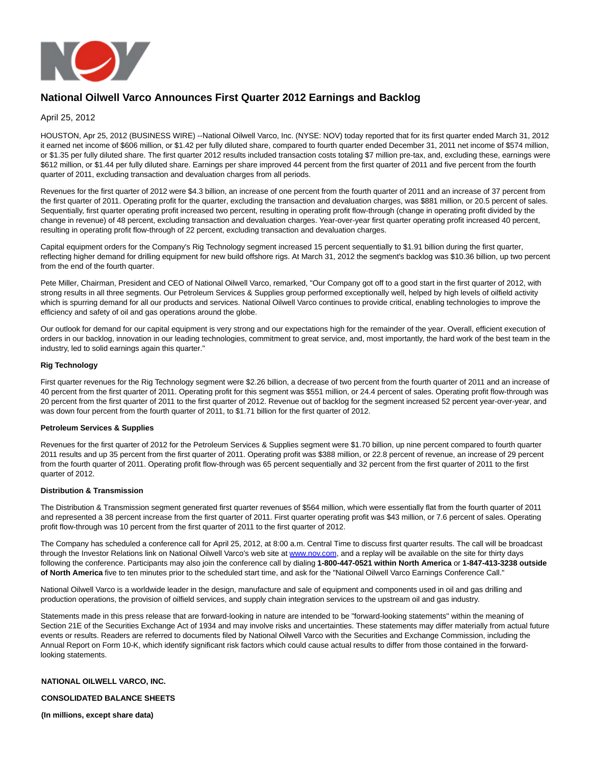

# **National Oilwell Varco Announces First Quarter 2012 Earnings and Backlog**

April 25, 2012

HOUSTON, Apr 25, 2012 (BUSINESS WIRE) --National Oilwell Varco, Inc. (NYSE: NOV) today reported that for its first quarter ended March 31, 2012 it earned net income of \$606 million, or \$1.42 per fully diluted share, compared to fourth quarter ended December 31, 2011 net income of \$574 million, or \$1.35 per fully diluted share. The first quarter 2012 results included transaction costs totaling \$7 million pre-tax, and, excluding these, earnings were \$612 million, or \$1.44 per fully diluted share. Earnings per share improved 44 percent from the first quarter of 2011 and five percent from the fourth quarter of 2011, excluding transaction and devaluation charges from all periods.

Revenues for the first quarter of 2012 were \$4.3 billion, an increase of one percent from the fourth quarter of 2011 and an increase of 37 percent from the first quarter of 2011. Operating profit for the quarter, excluding the transaction and devaluation charges, was \$881 million, or 20.5 percent of sales. Sequentially, first quarter operating profit increased two percent, resulting in operating profit flow-through (change in operating profit divided by the change in revenue) of 48 percent, excluding transaction and devaluation charges. Year-over-year first quarter operating profit increased 40 percent, resulting in operating profit flow-through of 22 percent, excluding transaction and devaluation charges.

Capital equipment orders for the Company's Rig Technology segment increased 15 percent sequentially to \$1.91 billion during the first quarter, reflecting higher demand for drilling equipment for new build offshore rigs. At March 31, 2012 the segment's backlog was \$10.36 billion, up two percent from the end of the fourth quarter.

Pete Miller, Chairman, President and CEO of National Oilwell Varco, remarked, "Our Company got off to a good start in the first quarter of 2012, with strong results in all three segments. Our Petroleum Services & Supplies group performed exceptionally well, helped by high levels of oilfield activity which is spurring demand for all our products and services. National Oilwell Varco continues to provide critical, enabling technologies to improve the efficiency and safety of oil and gas operations around the globe.

Our outlook for demand for our capital equipment is very strong and our expectations high for the remainder of the year. Overall, efficient execution of orders in our backlog, innovation in our leading technologies, commitment to great service, and, most importantly, the hard work of the best team in the industry, led to solid earnings again this quarter."

### **Rig Technology**

First quarter revenues for the Rig Technology segment were \$2.26 billion, a decrease of two percent from the fourth quarter of 2011 and an increase of 40 percent from the first quarter of 2011. Operating profit for this segment was \$551 million, or 24.4 percent of sales. Operating profit flow-through was 20 percent from the first quarter of 2011 to the first quarter of 2012. Revenue out of backlog for the segment increased 52 percent year-over-year, and was down four percent from the fourth quarter of 2011, to \$1.71 billion for the first quarter of 2012.

### **Petroleum Services & Supplies**

Revenues for the first quarter of 2012 for the Petroleum Services & Supplies segment were \$1.70 billion, up nine percent compared to fourth quarter 2011 results and up 35 percent from the first quarter of 2011. Operating profit was \$388 million, or 22.8 percent of revenue, an increase of 29 percent from the fourth quarter of 2011. Operating profit flow-through was 65 percent sequentially and 32 percent from the first quarter of 2011 to the first quarter of 2012.

### **Distribution & Transmission**

The Distribution & Transmission segment generated first quarter revenues of \$564 million, which were essentially flat from the fourth quarter of 2011 and represented a 38 percent increase from the first quarter of 2011. First quarter operating profit was \$43 million, or 7.6 percent of sales. Operating profit flow-through was 10 percent from the first quarter of 2011 to the first quarter of 2012.

The Company has scheduled a conference call for April 25, 2012, at 8:00 a.m. Central Time to discuss first quarter results. The call will be broadcast through the Investor Relations link on National Oilwell Varco's web site at [www.nov.com,](http://cts.businesswire.com/ct/CT?id=smartlink&url=http%3A%2F%2Fwww.nov.com&esheet=50251308&lan=en-US&anchor=www.nov.com&index=1&md5=ac0ccbd1f49282e1777daa0176c17d2f) and a replay will be available on the site for thirty days following the conference. Participants may also join the conference call by dialing **1-800-447-0521 within North America** or **1-847-413-3238 outside of North America** five to ten minutes prior to the scheduled start time, and ask for the "National Oilwell Varco Earnings Conference Call."

National Oilwell Varco is a worldwide leader in the design, manufacture and sale of equipment and components used in oil and gas drilling and production operations, the provision of oilfield services, and supply chain integration services to the upstream oil and gas industry.

Statements made in this press release that are forward-looking in nature are intended to be "forward-looking statements" within the meaning of Section 21E of the Securities Exchange Act of 1934 and may involve risks and uncertainties. These statements may differ materially from actual future events or results. Readers are referred to documents filed by National Oilwell Varco with the Securities and Exchange Commission, including the Annual Report on Form 10-K, which identify significant risk factors which could cause actual results to differ from those contained in the forwardlooking statements.

### **NATIONAL OILWELL VARCO, INC.**

### **CONSOLIDATED BALANCE SHEETS**

**(In millions, except share data)**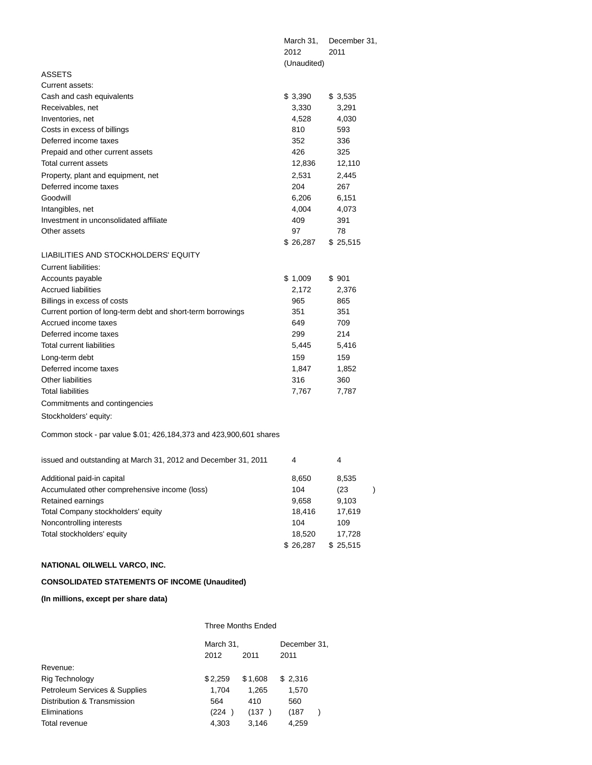|                                                                    | March 31,<br>2012 | December 31,<br>2011  |
|--------------------------------------------------------------------|-------------------|-----------------------|
|                                                                    | (Unaudited)       |                       |
| <b>ASSETS</b>                                                      |                   |                       |
| Current assets:                                                    |                   |                       |
| Cash and cash equivalents                                          | \$3,390           | \$3,535               |
| Receivables, net                                                   | 3,330             | 3,291                 |
| Inventories, net                                                   | 4,528             | 4,030                 |
| Costs in excess of billings                                        | 810               | 593                   |
| Deferred income taxes                                              | 352               | 336                   |
| Prepaid and other current assets                                   | 426               | 325                   |
| Total current assets                                               | 12,836            | 12,110                |
| Property, plant and equipment, net                                 | 2,531             | 2,445                 |
| Deferred income taxes                                              | 204               | 267                   |
| Goodwill                                                           | 6,206             | 6,151                 |
| Intangibles, net                                                   | 4,004             | 4,073                 |
| Investment in unconsolidated affiliate                             | 409               | 391                   |
| Other assets                                                       | 97                | 78                    |
|                                                                    | \$26,287          | \$25,515              |
| LIABILITIES AND STOCKHOLDERS' EQUITY                               |                   |                       |
| Current liabilities:                                               |                   |                       |
| Accounts payable                                                   | \$1,009           | \$901                 |
| <b>Accrued liabilities</b>                                         | 2,172             | 2,376                 |
| Billings in excess of costs                                        | 965               | 865                   |
| Current portion of long-term debt and short-term borrowings        | 351               | 351                   |
| Accrued income taxes                                               | 649               | 709                   |
| Deferred income taxes                                              | 299               | 214                   |
| Total current liabilities                                          | 5,445             | 5,416                 |
| Long-term debt                                                     | 159               | 159                   |
| Deferred income taxes                                              | 1,847             | 1,852                 |
| <b>Other liabilities</b>                                           | 316               | 360                   |
| <b>Total liabilities</b>                                           | 7,767             | 7,787                 |
| Commitments and contingencies                                      |                   |                       |
| Stockholders' equity:                                              |                   |                       |
| Common stock - par value \$.01; 426,184,373 and 423,900,601 shares |                   |                       |
|                                                                    |                   |                       |
| issued and outstanding at March 31, 2012 and December 31, 2011     | 4                 | 4                     |
| Additional paid-in capital                                         | 8,650             | 8,535                 |
| Accumulated other comprehensive income (loss)                      | 104               | (23)<br>$\mathcal{C}$ |
| Retained earnings                                                  | 9,658             | 9,103                 |
| Total Company stockholders' equity                                 | 18,416            | 17,619                |
| Noncontrolling interests                                           | 104               | 109                   |
| Total stockholders' equity                                         | 18,520            | 17,728                |
|                                                                    | \$26,287          | \$25,515              |
|                                                                    |                   |                       |

# **NATIONAL OILWELL VARCO, INC.**

# **CONSOLIDATED STATEMENTS OF INCOME (Unaudited)**

## **(In millions, except per share data)**

|                               | <b>Three Months Ended</b> |         |              |  |  |  |  |
|-------------------------------|---------------------------|---------|--------------|--|--|--|--|
|                               | March 31,                 |         | December 31. |  |  |  |  |
|                               | 2012                      | 2011    | 2011         |  |  |  |  |
| Revenue:                      |                           |         |              |  |  |  |  |
| Rig Technology                | \$2,259                   | \$1,608 | \$2,316      |  |  |  |  |
| Petroleum Services & Supplies | 1,704                     | 1,265   | 1,570        |  |  |  |  |
| Distribution & Transmission   | 564                       | 410     | 560          |  |  |  |  |
| Eliminations                  | (224)                     | (137)   | (187         |  |  |  |  |
| Total revenue                 | 4.303                     | 3.146   | 4.259        |  |  |  |  |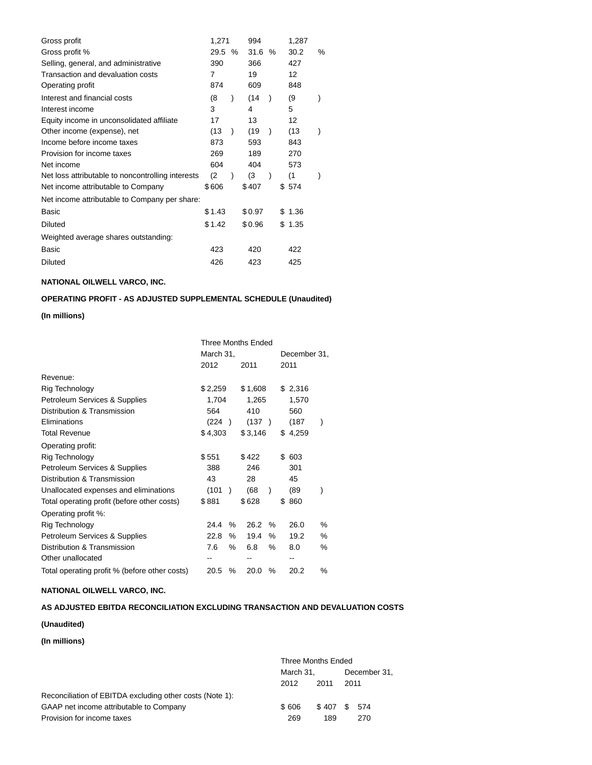| Gross profit                                      | 1,271  |               | 994    |               | 1,287  |   |
|---------------------------------------------------|--------|---------------|--------|---------------|--------|---|
| Gross profit %                                    | 29.5   | $\%$          | 31.6   | %             | 30.2   | % |
| Selling, general, and administrative              | 390    |               | 366    |               | 427    |   |
| Transaction and devaluation costs                 | 7      |               | 19     |               | 12     |   |
| Operating profit                                  | 874    |               | 609    |               | 848    |   |
| Interest and financial costs                      | (8     | $\mathcal{E}$ | (14    | $\lambda$     | (9)    |   |
| Interest income                                   | 3      |               | 4      |               | 5      |   |
| Equity income in unconsolidated affiliate         | 17     |               | 13     |               | 12     |   |
| Other income (expense), net                       | (13    | $\mathcal{E}$ | (19    | $\mathcal{E}$ | (13    |   |
| Income before income taxes                        | 873    |               | 593    |               | 843    |   |
| Provision for income taxes                        | 269    |               | 189    |               | 270    |   |
| Net income                                        | 604    |               | 404    |               | 573    |   |
| Net loss attributable to noncontrolling interests | (2)    | $\mathcal{E}$ | (3     | $\mathcal{E}$ | (1     |   |
| Net income attributable to Company                | \$606  |               | \$407  |               | \$ 574 |   |
| Net income attributable to Company per share:     |        |               |        |               |        |   |
| Basic                                             | \$1.43 |               | \$0.97 |               | \$1.36 |   |
| <b>Diluted</b>                                    | \$1.42 |               | \$0.96 |               | \$1.35 |   |
| Weighted average shares outstanding:              |        |               |        |               |        |   |
| Basic                                             | 423    |               | 420    |               | 422    |   |
| <b>Diluted</b>                                    | 426    |               | 423    |               | 425    |   |

# **NATIONAL OILWELL VARCO, INC.**

# **OPERATING PROFIT - AS ADJUSTED SUPPLEMENTAL SCHEDULE (Unaudited)**

### **(In millions)**

|                                               | <b>Three Months Ended</b> |         |               |  |              |           |     |         |      |
|-----------------------------------------------|---------------------------|---------|---------------|--|--------------|-----------|-----|---------|------|
|                                               | March 31,                 |         |               |  | December 31, |           |     |         |      |
|                                               |                           | 2012    |               |  | 2011         |           |     | 2011    |      |
| Revenue:                                      |                           |         |               |  |              |           |     |         |      |
| Rig Technology                                |                           | \$2,259 |               |  | \$1,608      |           |     | \$2,316 |      |
| Petroleum Services & Supplies                 |                           | 1,704   |               |  | 1,265        |           |     | 1,570   |      |
| Distribution & Transmission                   |                           | 564     |               |  | 410          |           |     | 560     |      |
| Eliminations                                  |                           | (224)   |               |  | (137)        |           |     | (187    |      |
| <b>Total Revenue</b>                          |                           | \$4,303 |               |  | \$3,146      |           |     | \$4,259 |      |
| Operating profit:                             |                           |         |               |  |              |           |     |         |      |
| Rig Technology                                |                           | \$551   |               |  | \$422        |           | \$  | 603     |      |
| Petroleum Services & Supplies                 |                           | 388     |               |  | 246          |           |     | 301     |      |
| Distribution & Transmission                   |                           | 43      |               |  | 28           |           |     | 45      |      |
| Unallocated expenses and eliminations         |                           | (101)   | $\rightarrow$ |  | (68)         | $\lambda$ |     | (89     |      |
| Total operating profit (before other costs)   |                           | \$881   |               |  | \$628        |           | \$. | 860     |      |
| Operating profit %:                           |                           |         |               |  |              |           |     |         |      |
| Rig Technology                                |                           | 24.4    | %             |  | 26.2         | $\%$      |     | 26.0    | $\%$ |
| Petroleum Services & Supplies                 |                           | 22.8    | ℅             |  | 19.4         | $\%$      |     | 19.2    | $\%$ |
| Distribution & Transmission                   |                           | 7.6     | ℅             |  | 6.8          | ℅         |     | 8.0     | $\%$ |
| Other unallocated                             |                           |         |               |  |              |           |     |         |      |
| Total operating profit % (before other costs) |                           | 20.5    | ℅             |  | 20.0         | $\%$      |     | 20.2    | %    |

## **NATIONAL OILWELL VARCO, INC.**

## **AS ADJUSTED EBITDA RECONCILIATION EXCLUDING TRANSACTION AND DEVALUATION COSTS**

### **(Unaudited)**

## **(In millions)**

|                                                          | Three Months Ended |              |             |  |  |  |
|----------------------------------------------------------|--------------------|--------------|-------------|--|--|--|
|                                                          | March 31.          | December 31, |             |  |  |  |
|                                                          | 2012               | 2011         | 2011        |  |  |  |
| Reconciliation of EBITDA excluding other costs (Note 1): |                    |              |             |  |  |  |
| GAAP net income attributable to Company                  | \$606              |              | \$407 \$574 |  |  |  |
| Provision for income taxes                               | 269                | 189          | 270         |  |  |  |